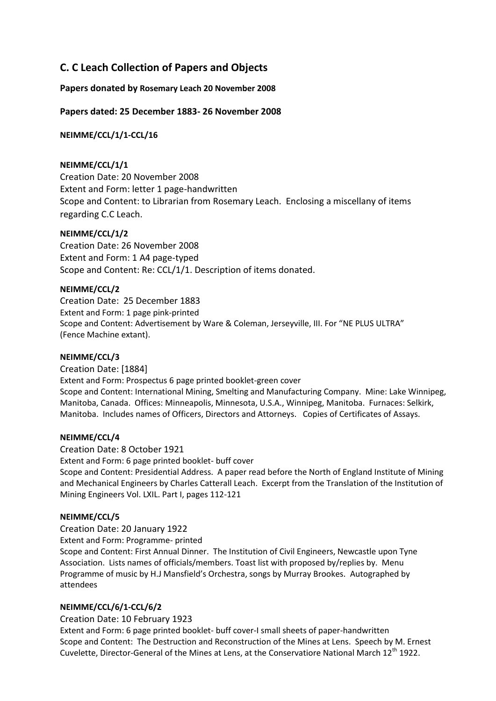# **C. C Leach Collection of Papers and Objects**

# **Papers donated by Rosemary Leach 20 November 2008**

# **Papers dated: 25 December 1883- 26 November 2008**

**NEIMME/CCL/1/1-CCL/16**

# **NEIMME/CCL/1/1**

Creation Date: 20 November 2008 Extent and Form: letter 1 page-handwritten Scope and Content: to Librarian from Rosemary Leach. Enclosing a miscellany of items regarding C.C Leach.

## **NEIMME/CCL/1/2**

Creation Date: 26 November 2008 Extent and Form: 1 A4 page-typed Scope and Content: Re: CCL/1/1. Description of items donated.

# **NEIMME/CCL/2**

Creation Date: 25 December 1883 Extent and Form: 1 page pink-printed Scope and Content: Advertisement by Ware & Coleman, Jerseyville, III. For "NE PLUS ULTRA" (Fence Machine extant).

## **NEIMME/CCL/3**

Creation Date: [1884] Extent and Form: Prospectus 6 page printed booklet-green cover Scope and Content: International Mining, Smelting and Manufacturing Company. Mine: Lake Winnipeg, Manitoba, Canada. Offices: Minneapolis, Minnesota, U.S.A., Winnipeg, Manitoba. Furnaces: Selkirk, Manitoba. Includes names of Officers, Directors and Attorneys. Copies of Certificates of Assays.

## **NEIMME/CCL/4**

## Creation Date: 8 October 1921

Extent and Form: 6 page printed booklet- buff cover

Scope and Content: Presidential Address. A paper read before the North of England Institute of Mining and Mechanical Engineers by Charles Catterall Leach. Excerpt from the Translation of the Institution of Mining Engineers Vol. LXIL. Part I, pages 112-121

## **NEIMME/CCL/5**

Creation Date: 20 January 1922

Extent and Form: Programme- printed

Scope and Content: First Annual Dinner. The Institution of Civil Engineers, Newcastle upon Tyne Association. Lists names of officials/members. Toast list with proposed by/replies by. Menu Programme of music by H.J Mansfield's Orchestra, songs by Murray Brookes. Autographed by attendees

## **NEIMME/CCL/6/1-CCL/6/2**

## Creation Date: 10 February 1923

Extent and Form: 6 page printed booklet- buff cover-I small sheets of paper-handwritten Scope and Content: The Destruction and Reconstruction of the Mines at Lens. Speech by M. Ernest Cuvelette, Director-General of the Mines at Lens, at the Conservatiore National March 12<sup>th</sup> 1922.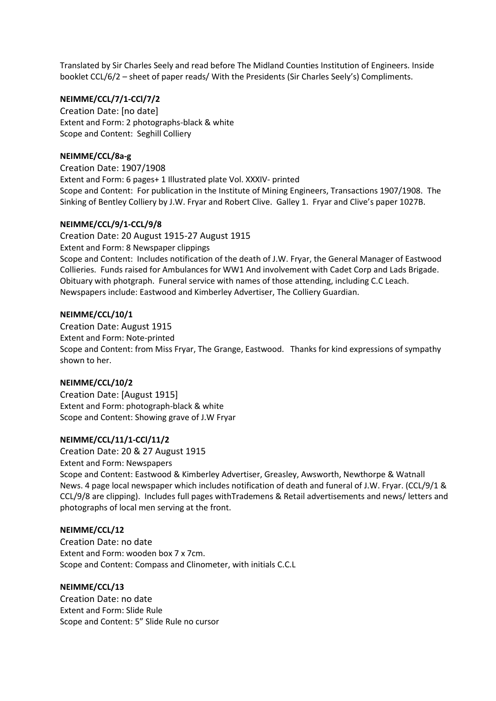Translated by Sir Charles Seely and read before The Midland Counties Institution of Engineers. Inside booklet CCL/6/2 – sheet of paper reads/ With the Presidents (Sir Charles Seely's) Compliments.

#### **NEIMME/CCL/7/1-CCl/7/2**

Creation Date: [no date] Extent and Form: 2 photographs-black & white Scope and Content: Seghill Colliery

#### **NEIMME/CCL/8a-g**

Creation Date: 1907/1908 Extent and Form: 6 pages+ 1 Illustrated plate Vol. XXXIV- printed Scope and Content: For publication in the Institute of Mining Engineers, Transactions 1907/1908. The Sinking of Bentley Colliery by J.W. Fryar and Robert Clive. Galley 1. Fryar and Clive's paper 1027B.

#### **NEIMME/CCL/9/1-CCL/9/8**

Creation Date: 20 August 1915-27 August 1915 Extent and Form: 8 Newspaper clippings Scope and Content: Includes notification of the death of J.W. Fryar, the General Manager of Eastwood Collieries. Funds raised for Ambulances for WW1 And involvement with Cadet Corp and Lads Brigade. Obituary with photgraph. Funeral service with names of those attending, including C.C Leach. Newspapers include: Eastwood and Kimberley Advertiser, The Colliery Guardian.

#### **NEIMME/CCL/10/1**

Creation Date: August 1915 Extent and Form: Note-printed Scope and Content: from Miss Fryar, The Grange, Eastwood. Thanks for kind expressions of sympathy shown to her.

#### **NEIMME/CCL/10/2**

Creation Date: [August 1915] Extent and Form: photograph-black & white Scope and Content: Showing grave of J.W Fryar

#### **NEIMME/CCL/11/1-CCl/11/2**

Creation Date: 20 & 27 August 1915 Extent and Form: Newspapers Scope and Content: Eastwood & Kimberley Advertiser, Greasley, Awsworth, Newthorpe & Watnall News. 4 page local newspaper which includes notification of death and funeral of J.W. Fryar. (CCL/9/1 & CCL/9/8 are clipping). Includes full pages withTrademens & Retail advertisements and news/ letters and photographs of local men serving at the front.

#### **NEIMME/CCL/12**

Creation Date: no date Extent and Form: wooden box 7 x 7cm. Scope and Content: Compass and Clinometer, with initials C.C.L

#### **NEIMME/CCL/13**

Creation Date: no date Extent and Form: Slide Rule Scope and Content: 5" Slide Rule no cursor